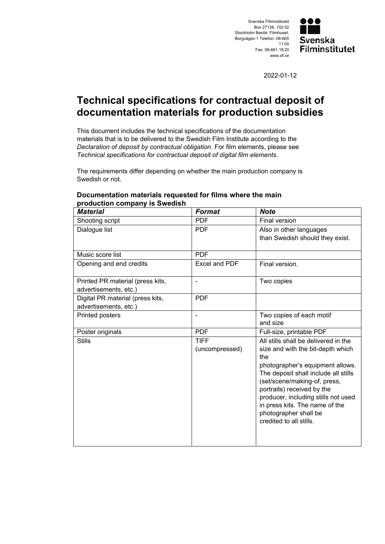



2022-01-12

## **Technical specifications for contractual deposit of documentation materials for production subsidies**

This document includes the technical specifications of the documentation materials that is to be delivered to the Swedish Film Institute according to the *Declaration of deposit by contractual obligation*. For film elements, please see *Technical specifications for contractual deposit of digital film elements*.

The requirements differ depending on whether the main production company is Swedish or not.

## *Material Format Note*  Shooting script **PDF** Final version Dialogue list **PDF** Also in other languages than Swedish should they exist. Music score list **PDF** Opening and end credits **Excel and PDF** Final version. Printed PR material (press kits, advertisements, etc.) - Two copies Digital PR material (press kits, advertisements, etc.) PDF Printed posters  $\vert$  - Two copies of each motif and size Poster originals **PDF PDF** Full-size, printable PDF Stills **TIFF** (uncompressed) All stills shall be delivered in the size and with the bit-depth which the photographer's equipment allows. The deposit shall include all stills (set/scene/making-of, press, portraits) received by the producer, including stills not used in press kits. The name of the photographer shall be credited to all stills.

## **Documentation materials requested for films where the main production company is Swedish**